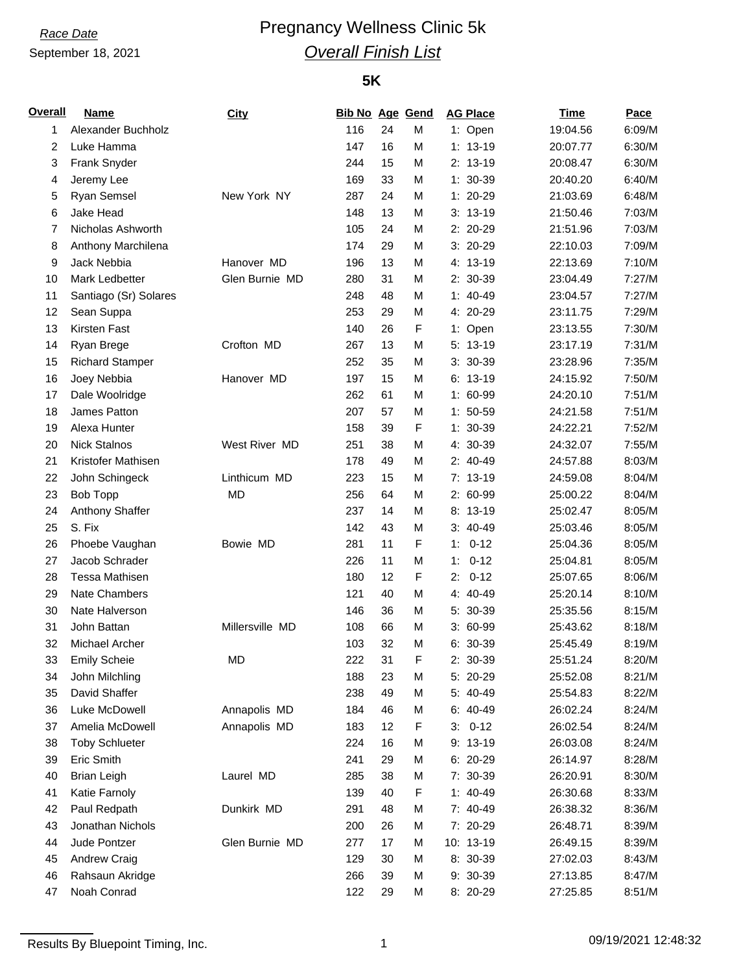# **Race Date Pregnancy Wellness Clinic 5k** *Overall Finish List*

### **5K**

| <b>Overall</b> | <b>Name</b>            | <b>City</b>     | <b>Bib No Age Gend</b> |    |   | <b>AG Place</b> | <b>Time</b> | Pace   |
|----------------|------------------------|-----------------|------------------------|----|---|-----------------|-------------|--------|
| 1              | Alexander Buchholz     |                 | 116                    | 24 | M | 1: Open         | 19:04.56    | 6:09/M |
| 2              | Luke Hamma             |                 | 147                    | 16 | M | $1: 13-19$      | 20:07.77    | 6:30/M |
| 3              | Frank Snyder           |                 | 244                    | 15 | M | $2: 13-19$      | 20:08.47    | 6:30/M |
| 4              | Jeremy Lee             |                 | 169                    | 33 | M | $1: 30-39$      | 20:40.20    | 6:40/M |
| 5              | <b>Ryan Semsel</b>     | New York NY     | 287                    | 24 | M | 1: 20-29        | 21:03.69    | 6:48/M |
| 6              | Jake Head              |                 | 148                    | 13 | M | $3: 13-19$      | 21:50.46    | 7:03/M |
| 7              | Nicholas Ashworth      |                 | 105                    | 24 | M | 2: 20-29        | 21:51.96    | 7:03/M |
| 8              | Anthony Marchilena     |                 | 174                    | 29 | M | $3:20-29$       | 22:10.03    | 7:09/M |
| 9              | Jack Nebbia            | Hanover MD      | 196                    | 13 | M | 4: 13-19        | 22:13.69    | 7:10/M |
| 10             | Mark Ledbetter         | Glen Burnie MD  | 280                    | 31 | M | 2: 30-39        | 23:04.49    | 7:27/M |
| 11             | Santiago (Sr) Solares  |                 | 248                    | 48 | M | $1: 40-49$      | 23:04.57    | 7:27/M |
| 12             | Sean Suppa             |                 | 253                    | 29 | M | 4: 20-29        | 23:11.75    | 7:29/M |
| 13             | Kirsten Fast           |                 | 140                    | 26 | F | 1: Open         | 23:13.55    | 7:30/M |
| 14             | Ryan Brege             | Crofton MD      | 267                    | 13 | M | $5: 13-19$      | 23:17.19    | 7:31/M |
| 15             | <b>Richard Stamper</b> |                 | 252                    | 35 | M | 3: 30-39        | 23:28.96    | 7:35/M |
| 16             | Joey Nebbia            | Hanover MD      | 197                    | 15 | M | $6: 13-19$      | 24:15.92    | 7:50/M |
| 17             | Dale Woolridge         |                 | 262                    | 61 | M | 1: 60-99        | 24:20.10    | 7:51/M |
| 18             | James Patton           |                 | 207                    | 57 | M | $1: 50-59$      | 24:21.58    | 7:51/M |
| 19             | Alexa Hunter           |                 | 158                    | 39 | F | 1: 30-39        | 24:22.21    | 7:52/M |
| 20             | <b>Nick Stalnos</b>    | West River MD   | 251                    | 38 | M | 4: 30-39        | 24:32.07    | 7:55/M |
| 21             | Kristofer Mathisen     |                 | 178                    | 49 | M | 2: 40-49        | 24:57.88    | 8:03/M |
| 22             | John Schingeck         | Linthicum MD    | 223                    | 15 | M | 7: 13-19        | 24:59.08    | 8:04/M |
| 23             | <b>Bob Topp</b>        | MD              | 256                    | 64 | M | 2: 60-99        | 25:00.22    | 8:04/M |
| 24             | Anthony Shaffer        |                 | 237                    | 14 | M | $8:13-19$       | 25:02.47    | 8:05/M |
| 25             | S. Fix                 |                 | 142                    | 43 | M | $3: 40-49$      | 25:03.46    | 8:05/M |
| 26             | Phoebe Vaughan         | Bowie MD        | 281                    | 11 | F | $0 - 12$<br>1:  | 25:04.36    | 8:05/M |
| 27             | Jacob Schrader         |                 | 226                    | 11 | M | $0 - 12$<br>1:  | 25:04.81    | 8:05/M |
| 28             | <b>Tessa Mathisen</b>  |                 | 180                    | 12 | F | $0 - 12$<br>2:  | 25:07.65    | 8:06/M |
| 29             | Nate Chambers          |                 | 121                    | 40 | M | 4: 40-49        | 25:20.14    | 8:10/M |
| 30             | Nate Halverson         |                 | 146                    | 36 | M | 5: 30-39        | 25:35.56    | 8:15/M |
| 31             | John Battan            | Millersville MD | 108                    | 66 | M | 3: 60-99        | 25:43.62    | 8:18/M |
| 32             | Michael Archer         |                 | 103                    | 32 | М | 6: 30-39        | 25:45.49    | 8:19/M |
| 33             | <b>Emily Scheie</b>    | <b>MD</b>       | 222                    | 31 | F | 2: 30-39        | 25:51.24    | 8:20/M |
| 34             | John Milchling         |                 | 188                    | 23 | M | 5: 20-29        | 25:52.08    | 8:21/M |
| 35             | David Shaffer          |                 | 238                    | 49 | М | 5: 40-49        | 25:54.83    | 8:22/M |
| 36             | Luke McDowell          | Annapolis MD    | 184                    | 46 | M | 6: 40-49        | 26:02.24    | 8:24/M |
| 37             | Amelia McDowell        | Annapolis MD    | 183                    | 12 | F | $0 - 12$<br>3:  | 26:02.54    | 8:24/M |
| 38             | <b>Toby Schlueter</b>  |                 | 224                    | 16 | М | 9: 13-19        | 26:03.08    | 8:24/M |
| 39             | Eric Smith             |                 | 241                    | 29 | М | 6: 20-29        | 26:14.97    | 8:28/M |
| 40             | <b>Brian Leigh</b>     | Laurel MD       | 285                    | 38 | M | 7: 30-39        | 26:20.91    | 8:30/M |
| 41             | Katie Farnoly          |                 | 139                    | 40 | F | $1: 40-49$      | 26:30.68    | 8:33/M |
| 42             | Paul Redpath           | Dunkirk MD      | 291                    | 48 | M | 7: 40-49        | 26:38.32    | 8:36/M |
| 43             | Jonathan Nichols       |                 | 200                    | 26 | M | 7: 20-29        | 26:48.71    | 8:39/M |
| 44             | Jude Pontzer           | Glen Burnie MD  | 277                    | 17 | M | 10: 13-19       | 26:49.15    | 8:39/M |
| 45             | Andrew Craig           |                 | 129                    | 30 | M | 8: 30-39        | 27:02.03    | 8:43/M |
| 46             | Rahsaun Akridge        |                 | 266                    | 39 | M | 9: 30-39        | 27:13.85    | 8:47/M |
| 47             | Noah Conrad            |                 | 122                    | 29 | M | 8: 20-29        | 27:25.85    | 8:51/M |
|                |                        |                 |                        |    |   |                 |             |        |

Results By Bluepoint Timing, Inc. 2001 12:48:32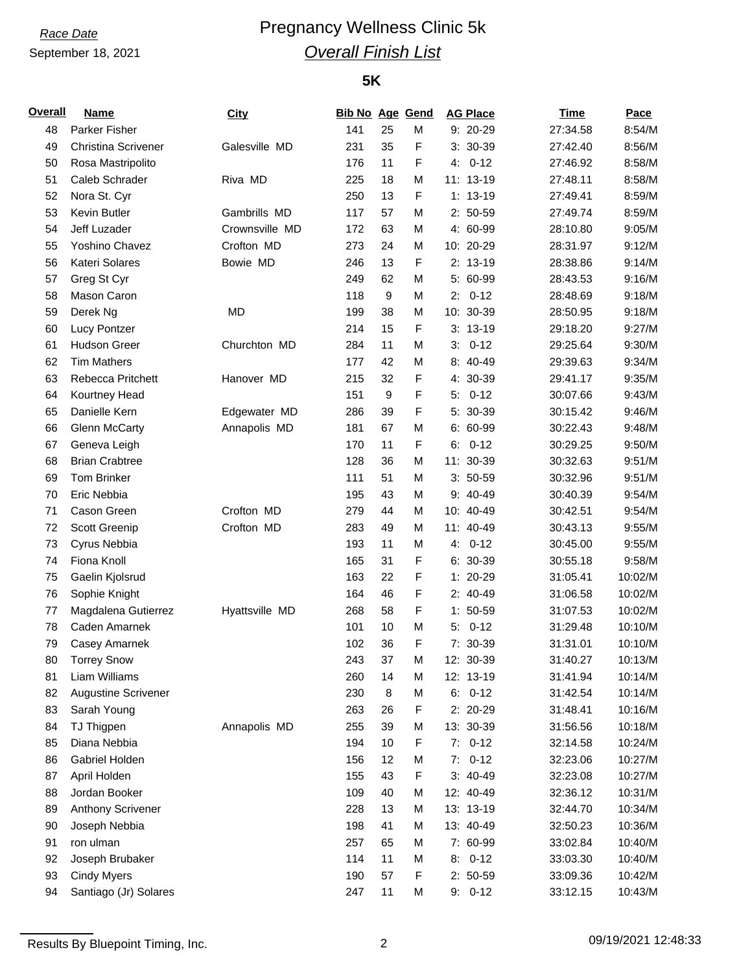# **Race Date Pregnancy Wellness Clinic 5k** *Overall Finish List*

#### **5K**

| City<br>9: 20-29<br>48<br>Parker Fisher<br>141<br>25<br>M<br>27:34.58<br>F<br>49<br><b>Christina Scrivener</b><br>Galesville MD<br>231<br>35<br>3: 30-39<br>27:42.40<br>F<br>$0 - 12$<br>50<br>176<br>11<br>27:46.92<br>Rosa Mastripolito<br>4:<br>51<br>Caleb Schrader<br>Riva MD<br>225<br>18<br>M<br>11: 13-19<br>27:48.11<br>F<br>52<br>Nora St. Cyr<br>250<br>13<br>$1: 13-19$<br>27:49.41<br>Kevin Butler<br>53<br>Gambrills MD<br>57<br>M<br>$2: 50-59$<br>27:49.74<br>117<br>Crownsville MD<br>54<br>Jeff Luzader<br>63<br>4: 60-99<br>28:10.80<br>172<br>M<br>Yoshino Chavez<br>Crofton MD<br>55<br>273<br>24<br>M<br>10: 20-29<br>28:31.97<br>F<br>56<br>Kateri Solares<br>Bowie MD<br>13<br>$2: 13-19$<br>246<br>28:38.86<br>Greg St Cyr<br>62<br>M<br>5: 60-99<br>57<br>249<br>28:43.53<br>9<br>58<br>Mason Caron<br>118<br>M<br>2:<br>$0 - 12$<br>28:48.69<br>59<br>Derek Ng<br><b>MD</b><br>199<br>38<br>10: 30-39<br>28:50.95<br>M<br>F<br>60<br>Lucy Pontzer<br>214<br>15<br>$3: 13-19$<br>29:18.20<br>61<br><b>Hudson Greer</b><br>Churchton MD<br>284<br>11<br>M<br>$0 - 12$<br>3:<br>29:25.64<br><b>Tim Mathers</b><br>8: 40-49<br>62<br>177<br>42<br>M<br>29:39.63<br>F<br>63<br>Rebecca Pritchett<br>Hanover MD<br>215<br>32<br>4: 30-39<br>29:41.17<br>$\boldsymbol{9}$<br>F<br>64<br>151<br>$0 - 12$<br>30:07.66<br>Kourtney Head<br>5:<br>F<br>Danielle Kern<br>Edgewater MD<br>286<br>39<br>5: 30-39<br>65<br>30:15.42<br><b>Glenn McCarty</b><br>Annapolis MD<br>67<br>M<br>6: 60-99<br>30:22.43<br>66<br>181<br>F<br>$0 - 12$<br>67<br>170<br>11<br>6:<br>30:29.25<br>Geneva Leigh<br>68<br><b>Brian Crabtree</b><br>128<br>36<br>M<br>11: 30-39<br>30:32.63<br>69<br><b>Tom Brinker</b><br>111<br>51<br>M<br>$3: 50-59$<br>30:32.96<br>Eric Nebbia<br>70<br>43<br>9: 40-49<br>30:40.39<br>195<br>M<br>71<br>Cason Green<br>Crofton MD<br>279<br>44<br>10: 40-49<br>M<br>30:42.51<br>Crofton MD<br>72<br>Scott Greenip<br>283<br>49<br>M<br>11: 40-49<br>30:43.13<br>73<br>Cyrus Nebbia<br>11<br>$0 - 12$<br>193<br>M<br>4:<br>30:45.00<br>F<br>74<br>Fiona Knoll<br>165<br>31<br>6: 30-39<br>30:55.18<br>F<br>1: 20-29<br>Gaelin Kjolsrud<br>163<br>22<br>31:05.41<br>75<br>F<br>76<br>164<br>46<br>2: 40-49<br>Sophie Knight<br>31:06.58<br>F<br>Hyattsville MD<br>268<br>58<br>$1: 50-59$<br>31:07.53<br>77<br>Magdalena Gutierrez<br>Caden Amarnek<br>101<br>10<br>M<br>$0 - 12$<br>31:29.48<br>78<br>5:<br>F<br>79<br>102<br>36<br>7: 30-39<br>31:31.01<br>Casey Amarnek<br><b>Torrey Snow</b><br>12: 30-39<br>243<br>37<br>31:40.27<br>80<br>M | 8:54/M<br>8:56/M<br>8:58/M<br>8:58/M<br>8:59/M<br>8:59/M<br>9:05/M<br>9:12/M<br>9:14/M<br>9:16/M<br>9:18/M<br>9:18/M<br>9:27/M<br>9:30/M<br>9:34/M<br>9:35/M<br>9:43/M |
|---------------------------------------------------------------------------------------------------------------------------------------------------------------------------------------------------------------------------------------------------------------------------------------------------------------------------------------------------------------------------------------------------------------------------------------------------------------------------------------------------------------------------------------------------------------------------------------------------------------------------------------------------------------------------------------------------------------------------------------------------------------------------------------------------------------------------------------------------------------------------------------------------------------------------------------------------------------------------------------------------------------------------------------------------------------------------------------------------------------------------------------------------------------------------------------------------------------------------------------------------------------------------------------------------------------------------------------------------------------------------------------------------------------------------------------------------------------------------------------------------------------------------------------------------------------------------------------------------------------------------------------------------------------------------------------------------------------------------------------------------------------------------------------------------------------------------------------------------------------------------------------------------------------------------------------------------------------------------------------------------------------------------------------------------------------------------------------------------------------------------------------------------------------------------------------------------------------------------------------------------------------------------------------------------------------------------------------------------------------------------------------------------------------------------------------------------------------------------------------------------------------------------------------------------------------------------------|------------------------------------------------------------------------------------------------------------------------------------------------------------------------|
|                                                                                                                                                                                                                                                                                                                                                                                                                                                                                                                                                                                                                                                                                                                                                                                                                                                                                                                                                                                                                                                                                                                                                                                                                                                                                                                                                                                                                                                                                                                                                                                                                                                                                                                                                                                                                                                                                                                                                                                                                                                                                                                                                                                                                                                                                                                                                                                                                                                                                                                                                                                 |                                                                                                                                                                        |
|                                                                                                                                                                                                                                                                                                                                                                                                                                                                                                                                                                                                                                                                                                                                                                                                                                                                                                                                                                                                                                                                                                                                                                                                                                                                                                                                                                                                                                                                                                                                                                                                                                                                                                                                                                                                                                                                                                                                                                                                                                                                                                                                                                                                                                                                                                                                                                                                                                                                                                                                                                                 |                                                                                                                                                                        |
|                                                                                                                                                                                                                                                                                                                                                                                                                                                                                                                                                                                                                                                                                                                                                                                                                                                                                                                                                                                                                                                                                                                                                                                                                                                                                                                                                                                                                                                                                                                                                                                                                                                                                                                                                                                                                                                                                                                                                                                                                                                                                                                                                                                                                                                                                                                                                                                                                                                                                                                                                                                 |                                                                                                                                                                        |
|                                                                                                                                                                                                                                                                                                                                                                                                                                                                                                                                                                                                                                                                                                                                                                                                                                                                                                                                                                                                                                                                                                                                                                                                                                                                                                                                                                                                                                                                                                                                                                                                                                                                                                                                                                                                                                                                                                                                                                                                                                                                                                                                                                                                                                                                                                                                                                                                                                                                                                                                                                                 |                                                                                                                                                                        |
|                                                                                                                                                                                                                                                                                                                                                                                                                                                                                                                                                                                                                                                                                                                                                                                                                                                                                                                                                                                                                                                                                                                                                                                                                                                                                                                                                                                                                                                                                                                                                                                                                                                                                                                                                                                                                                                                                                                                                                                                                                                                                                                                                                                                                                                                                                                                                                                                                                                                                                                                                                                 |                                                                                                                                                                        |
|                                                                                                                                                                                                                                                                                                                                                                                                                                                                                                                                                                                                                                                                                                                                                                                                                                                                                                                                                                                                                                                                                                                                                                                                                                                                                                                                                                                                                                                                                                                                                                                                                                                                                                                                                                                                                                                                                                                                                                                                                                                                                                                                                                                                                                                                                                                                                                                                                                                                                                                                                                                 |                                                                                                                                                                        |
|                                                                                                                                                                                                                                                                                                                                                                                                                                                                                                                                                                                                                                                                                                                                                                                                                                                                                                                                                                                                                                                                                                                                                                                                                                                                                                                                                                                                                                                                                                                                                                                                                                                                                                                                                                                                                                                                                                                                                                                                                                                                                                                                                                                                                                                                                                                                                                                                                                                                                                                                                                                 |                                                                                                                                                                        |
|                                                                                                                                                                                                                                                                                                                                                                                                                                                                                                                                                                                                                                                                                                                                                                                                                                                                                                                                                                                                                                                                                                                                                                                                                                                                                                                                                                                                                                                                                                                                                                                                                                                                                                                                                                                                                                                                                                                                                                                                                                                                                                                                                                                                                                                                                                                                                                                                                                                                                                                                                                                 |                                                                                                                                                                        |
|                                                                                                                                                                                                                                                                                                                                                                                                                                                                                                                                                                                                                                                                                                                                                                                                                                                                                                                                                                                                                                                                                                                                                                                                                                                                                                                                                                                                                                                                                                                                                                                                                                                                                                                                                                                                                                                                                                                                                                                                                                                                                                                                                                                                                                                                                                                                                                                                                                                                                                                                                                                 |                                                                                                                                                                        |
|                                                                                                                                                                                                                                                                                                                                                                                                                                                                                                                                                                                                                                                                                                                                                                                                                                                                                                                                                                                                                                                                                                                                                                                                                                                                                                                                                                                                                                                                                                                                                                                                                                                                                                                                                                                                                                                                                                                                                                                                                                                                                                                                                                                                                                                                                                                                                                                                                                                                                                                                                                                 |                                                                                                                                                                        |
|                                                                                                                                                                                                                                                                                                                                                                                                                                                                                                                                                                                                                                                                                                                                                                                                                                                                                                                                                                                                                                                                                                                                                                                                                                                                                                                                                                                                                                                                                                                                                                                                                                                                                                                                                                                                                                                                                                                                                                                                                                                                                                                                                                                                                                                                                                                                                                                                                                                                                                                                                                                 |                                                                                                                                                                        |
|                                                                                                                                                                                                                                                                                                                                                                                                                                                                                                                                                                                                                                                                                                                                                                                                                                                                                                                                                                                                                                                                                                                                                                                                                                                                                                                                                                                                                                                                                                                                                                                                                                                                                                                                                                                                                                                                                                                                                                                                                                                                                                                                                                                                                                                                                                                                                                                                                                                                                                                                                                                 |                                                                                                                                                                        |
|                                                                                                                                                                                                                                                                                                                                                                                                                                                                                                                                                                                                                                                                                                                                                                                                                                                                                                                                                                                                                                                                                                                                                                                                                                                                                                                                                                                                                                                                                                                                                                                                                                                                                                                                                                                                                                                                                                                                                                                                                                                                                                                                                                                                                                                                                                                                                                                                                                                                                                                                                                                 |                                                                                                                                                                        |
|                                                                                                                                                                                                                                                                                                                                                                                                                                                                                                                                                                                                                                                                                                                                                                                                                                                                                                                                                                                                                                                                                                                                                                                                                                                                                                                                                                                                                                                                                                                                                                                                                                                                                                                                                                                                                                                                                                                                                                                                                                                                                                                                                                                                                                                                                                                                                                                                                                                                                                                                                                                 |                                                                                                                                                                        |
|                                                                                                                                                                                                                                                                                                                                                                                                                                                                                                                                                                                                                                                                                                                                                                                                                                                                                                                                                                                                                                                                                                                                                                                                                                                                                                                                                                                                                                                                                                                                                                                                                                                                                                                                                                                                                                                                                                                                                                                                                                                                                                                                                                                                                                                                                                                                                                                                                                                                                                                                                                                 |                                                                                                                                                                        |
|                                                                                                                                                                                                                                                                                                                                                                                                                                                                                                                                                                                                                                                                                                                                                                                                                                                                                                                                                                                                                                                                                                                                                                                                                                                                                                                                                                                                                                                                                                                                                                                                                                                                                                                                                                                                                                                                                                                                                                                                                                                                                                                                                                                                                                                                                                                                                                                                                                                                                                                                                                                 |                                                                                                                                                                        |
|                                                                                                                                                                                                                                                                                                                                                                                                                                                                                                                                                                                                                                                                                                                                                                                                                                                                                                                                                                                                                                                                                                                                                                                                                                                                                                                                                                                                                                                                                                                                                                                                                                                                                                                                                                                                                                                                                                                                                                                                                                                                                                                                                                                                                                                                                                                                                                                                                                                                                                                                                                                 |                                                                                                                                                                        |
|                                                                                                                                                                                                                                                                                                                                                                                                                                                                                                                                                                                                                                                                                                                                                                                                                                                                                                                                                                                                                                                                                                                                                                                                                                                                                                                                                                                                                                                                                                                                                                                                                                                                                                                                                                                                                                                                                                                                                                                                                                                                                                                                                                                                                                                                                                                                                                                                                                                                                                                                                                                 | 9:46/M                                                                                                                                                                 |
|                                                                                                                                                                                                                                                                                                                                                                                                                                                                                                                                                                                                                                                                                                                                                                                                                                                                                                                                                                                                                                                                                                                                                                                                                                                                                                                                                                                                                                                                                                                                                                                                                                                                                                                                                                                                                                                                                                                                                                                                                                                                                                                                                                                                                                                                                                                                                                                                                                                                                                                                                                                 | 9:48/M                                                                                                                                                                 |
|                                                                                                                                                                                                                                                                                                                                                                                                                                                                                                                                                                                                                                                                                                                                                                                                                                                                                                                                                                                                                                                                                                                                                                                                                                                                                                                                                                                                                                                                                                                                                                                                                                                                                                                                                                                                                                                                                                                                                                                                                                                                                                                                                                                                                                                                                                                                                                                                                                                                                                                                                                                 | 9:50/M                                                                                                                                                                 |
|                                                                                                                                                                                                                                                                                                                                                                                                                                                                                                                                                                                                                                                                                                                                                                                                                                                                                                                                                                                                                                                                                                                                                                                                                                                                                                                                                                                                                                                                                                                                                                                                                                                                                                                                                                                                                                                                                                                                                                                                                                                                                                                                                                                                                                                                                                                                                                                                                                                                                                                                                                                 | 9:51/M                                                                                                                                                                 |
|                                                                                                                                                                                                                                                                                                                                                                                                                                                                                                                                                                                                                                                                                                                                                                                                                                                                                                                                                                                                                                                                                                                                                                                                                                                                                                                                                                                                                                                                                                                                                                                                                                                                                                                                                                                                                                                                                                                                                                                                                                                                                                                                                                                                                                                                                                                                                                                                                                                                                                                                                                                 | 9:51/M                                                                                                                                                                 |
|                                                                                                                                                                                                                                                                                                                                                                                                                                                                                                                                                                                                                                                                                                                                                                                                                                                                                                                                                                                                                                                                                                                                                                                                                                                                                                                                                                                                                                                                                                                                                                                                                                                                                                                                                                                                                                                                                                                                                                                                                                                                                                                                                                                                                                                                                                                                                                                                                                                                                                                                                                                 | 9:54/M                                                                                                                                                                 |
|                                                                                                                                                                                                                                                                                                                                                                                                                                                                                                                                                                                                                                                                                                                                                                                                                                                                                                                                                                                                                                                                                                                                                                                                                                                                                                                                                                                                                                                                                                                                                                                                                                                                                                                                                                                                                                                                                                                                                                                                                                                                                                                                                                                                                                                                                                                                                                                                                                                                                                                                                                                 | 9:54/M                                                                                                                                                                 |
|                                                                                                                                                                                                                                                                                                                                                                                                                                                                                                                                                                                                                                                                                                                                                                                                                                                                                                                                                                                                                                                                                                                                                                                                                                                                                                                                                                                                                                                                                                                                                                                                                                                                                                                                                                                                                                                                                                                                                                                                                                                                                                                                                                                                                                                                                                                                                                                                                                                                                                                                                                                 | 9:55/M                                                                                                                                                                 |
|                                                                                                                                                                                                                                                                                                                                                                                                                                                                                                                                                                                                                                                                                                                                                                                                                                                                                                                                                                                                                                                                                                                                                                                                                                                                                                                                                                                                                                                                                                                                                                                                                                                                                                                                                                                                                                                                                                                                                                                                                                                                                                                                                                                                                                                                                                                                                                                                                                                                                                                                                                                 | 9:55/M                                                                                                                                                                 |
|                                                                                                                                                                                                                                                                                                                                                                                                                                                                                                                                                                                                                                                                                                                                                                                                                                                                                                                                                                                                                                                                                                                                                                                                                                                                                                                                                                                                                                                                                                                                                                                                                                                                                                                                                                                                                                                                                                                                                                                                                                                                                                                                                                                                                                                                                                                                                                                                                                                                                                                                                                                 | 9:58/M                                                                                                                                                                 |
|                                                                                                                                                                                                                                                                                                                                                                                                                                                                                                                                                                                                                                                                                                                                                                                                                                                                                                                                                                                                                                                                                                                                                                                                                                                                                                                                                                                                                                                                                                                                                                                                                                                                                                                                                                                                                                                                                                                                                                                                                                                                                                                                                                                                                                                                                                                                                                                                                                                                                                                                                                                 | 10:02/M                                                                                                                                                                |
|                                                                                                                                                                                                                                                                                                                                                                                                                                                                                                                                                                                                                                                                                                                                                                                                                                                                                                                                                                                                                                                                                                                                                                                                                                                                                                                                                                                                                                                                                                                                                                                                                                                                                                                                                                                                                                                                                                                                                                                                                                                                                                                                                                                                                                                                                                                                                                                                                                                                                                                                                                                 | 10:02/M                                                                                                                                                                |
|                                                                                                                                                                                                                                                                                                                                                                                                                                                                                                                                                                                                                                                                                                                                                                                                                                                                                                                                                                                                                                                                                                                                                                                                                                                                                                                                                                                                                                                                                                                                                                                                                                                                                                                                                                                                                                                                                                                                                                                                                                                                                                                                                                                                                                                                                                                                                                                                                                                                                                                                                                                 | 10:02/M                                                                                                                                                                |
|                                                                                                                                                                                                                                                                                                                                                                                                                                                                                                                                                                                                                                                                                                                                                                                                                                                                                                                                                                                                                                                                                                                                                                                                                                                                                                                                                                                                                                                                                                                                                                                                                                                                                                                                                                                                                                                                                                                                                                                                                                                                                                                                                                                                                                                                                                                                                                                                                                                                                                                                                                                 | 10:10/M                                                                                                                                                                |
|                                                                                                                                                                                                                                                                                                                                                                                                                                                                                                                                                                                                                                                                                                                                                                                                                                                                                                                                                                                                                                                                                                                                                                                                                                                                                                                                                                                                                                                                                                                                                                                                                                                                                                                                                                                                                                                                                                                                                                                                                                                                                                                                                                                                                                                                                                                                                                                                                                                                                                                                                                                 | 10:10/M                                                                                                                                                                |
|                                                                                                                                                                                                                                                                                                                                                                                                                                                                                                                                                                                                                                                                                                                                                                                                                                                                                                                                                                                                                                                                                                                                                                                                                                                                                                                                                                                                                                                                                                                                                                                                                                                                                                                                                                                                                                                                                                                                                                                                                                                                                                                                                                                                                                                                                                                                                                                                                                                                                                                                                                                 | 10:13/M                                                                                                                                                                |
| 81<br>Liam Williams<br>14<br>12: 13-19<br>260<br>M<br>31:41.94                                                                                                                                                                                                                                                                                                                                                                                                                                                                                                                                                                                                                                                                                                                                                                                                                                                                                                                                                                                                                                                                                                                                                                                                                                                                                                                                                                                                                                                                                                                                                                                                                                                                                                                                                                                                                                                                                                                                                                                                                                                                                                                                                                                                                                                                                                                                                                                                                                                                                                                  | 10:14/M                                                                                                                                                                |
| 82<br><b>Augustine Scrivener</b><br>230<br>8<br>$6: 0-12$<br>M<br>31:42.54                                                                                                                                                                                                                                                                                                                                                                                                                                                                                                                                                                                                                                                                                                                                                                                                                                                                                                                                                                                                                                                                                                                                                                                                                                                                                                                                                                                                                                                                                                                                                                                                                                                                                                                                                                                                                                                                                                                                                                                                                                                                                                                                                                                                                                                                                                                                                                                                                                                                                                      | 10:14/M                                                                                                                                                                |
| 83<br>Sarah Young<br>263<br>26<br>F<br>2: 20-29<br>31:48.41                                                                                                                                                                                                                                                                                                                                                                                                                                                                                                                                                                                                                                                                                                                                                                                                                                                                                                                                                                                                                                                                                                                                                                                                                                                                                                                                                                                                                                                                                                                                                                                                                                                                                                                                                                                                                                                                                                                                                                                                                                                                                                                                                                                                                                                                                                                                                                                                                                                                                                                     | 10:16/M                                                                                                                                                                |
| 84<br>TJ Thigpen<br>Annapolis MD<br>255<br>39<br>13: 30-39<br>M<br>31:56.56                                                                                                                                                                                                                                                                                                                                                                                                                                                                                                                                                                                                                                                                                                                                                                                                                                                                                                                                                                                                                                                                                                                                                                                                                                                                                                                                                                                                                                                                                                                                                                                                                                                                                                                                                                                                                                                                                                                                                                                                                                                                                                                                                                                                                                                                                                                                                                                                                                                                                                     | 10:18/M                                                                                                                                                                |
| Diana Nebbia<br>194<br>10<br>F<br>$7: 0-12$<br>85<br>32:14.58                                                                                                                                                                                                                                                                                                                                                                                                                                                                                                                                                                                                                                                                                                                                                                                                                                                                                                                                                                                                                                                                                                                                                                                                                                                                                                                                                                                                                                                                                                                                                                                                                                                                                                                                                                                                                                                                                                                                                                                                                                                                                                                                                                                                                                                                                                                                                                                                                                                                                                                   | 10:24/M                                                                                                                                                                |
| Gabriel Holden<br>12<br>7:<br>$0 - 12$<br>86<br>156<br>M<br>32:23.06                                                                                                                                                                                                                                                                                                                                                                                                                                                                                                                                                                                                                                                                                                                                                                                                                                                                                                                                                                                                                                                                                                                                                                                                                                                                                                                                                                                                                                                                                                                                                                                                                                                                                                                                                                                                                                                                                                                                                                                                                                                                                                                                                                                                                                                                                                                                                                                                                                                                                                            | 10:27/M                                                                                                                                                                |
| 87<br>April Holden<br>155<br>43<br>F<br>$3: 40-49$<br>32:23.08                                                                                                                                                                                                                                                                                                                                                                                                                                                                                                                                                                                                                                                                                                                                                                                                                                                                                                                                                                                                                                                                                                                                                                                                                                                                                                                                                                                                                                                                                                                                                                                                                                                                                                                                                                                                                                                                                                                                                                                                                                                                                                                                                                                                                                                                                                                                                                                                                                                                                                                  | 10:27/M                                                                                                                                                                |
| 88<br>Jordan Booker<br>109<br>40<br>12: 40-49<br>M<br>32:36.12                                                                                                                                                                                                                                                                                                                                                                                                                                                                                                                                                                                                                                                                                                                                                                                                                                                                                                                                                                                                                                                                                                                                                                                                                                                                                                                                                                                                                                                                                                                                                                                                                                                                                                                                                                                                                                                                                                                                                                                                                                                                                                                                                                                                                                                                                                                                                                                                                                                                                                                  | 10:31/M                                                                                                                                                                |
| 89<br>13<br>13: 13-19<br>Anthony Scrivener<br>228<br>M<br>32:44.70                                                                                                                                                                                                                                                                                                                                                                                                                                                                                                                                                                                                                                                                                                                                                                                                                                                                                                                                                                                                                                                                                                                                                                                                                                                                                                                                                                                                                                                                                                                                                                                                                                                                                                                                                                                                                                                                                                                                                                                                                                                                                                                                                                                                                                                                                                                                                                                                                                                                                                              | 10:34/M                                                                                                                                                                |
| 41<br>13: 40-49<br>90<br>Joseph Nebbia<br>198<br>M<br>32:50.23                                                                                                                                                                                                                                                                                                                                                                                                                                                                                                                                                                                                                                                                                                                                                                                                                                                                                                                                                                                                                                                                                                                                                                                                                                                                                                                                                                                                                                                                                                                                                                                                                                                                                                                                                                                                                                                                                                                                                                                                                                                                                                                                                                                                                                                                                                                                                                                                                                                                                                                  | 10:36/M                                                                                                                                                                |
| 257<br>65<br>7: 60-99<br>33:02.84<br>91<br>ron ulman<br>M                                                                                                                                                                                                                                                                                                                                                                                                                                                                                                                                                                                                                                                                                                                                                                                                                                                                                                                                                                                                                                                                                                                                                                                                                                                                                                                                                                                                                                                                                                                                                                                                                                                                                                                                                                                                                                                                                                                                                                                                                                                                                                                                                                                                                                                                                                                                                                                                                                                                                                                       | 10:40/M                                                                                                                                                                |
| 92<br>Joseph Brubaker<br>114<br>11<br>$0 - 12$<br>M<br>8:<br>33:03.30                                                                                                                                                                                                                                                                                                                                                                                                                                                                                                                                                                                                                                                                                                                                                                                                                                                                                                                                                                                                                                                                                                                                                                                                                                                                                                                                                                                                                                                                                                                                                                                                                                                                                                                                                                                                                                                                                                                                                                                                                                                                                                                                                                                                                                                                                                                                                                                                                                                                                                           | 10:40/M                                                                                                                                                                |
| F<br>93<br><b>Cindy Myers</b><br>190<br>57<br>$2: 50-59$<br>33:09.36                                                                                                                                                                                                                                                                                                                                                                                                                                                                                                                                                                                                                                                                                                                                                                                                                                                                                                                                                                                                                                                                                                                                                                                                                                                                                                                                                                                                                                                                                                                                                                                                                                                                                                                                                                                                                                                                                                                                                                                                                                                                                                                                                                                                                                                                                                                                                                                                                                                                                                            | 10:42/M                                                                                                                                                                |
| 94<br>Santiago (Jr) Solares<br>247<br>11<br>M<br>$9: 0-12$<br>10:43/M<br>33:12.15                                                                                                                                                                                                                                                                                                                                                                                                                                                                                                                                                                                                                                                                                                                                                                                                                                                                                                                                                                                                                                                                                                                                                                                                                                                                                                                                                                                                                                                                                                                                                                                                                                                                                                                                                                                                                                                                                                                                                                                                                                                                                                                                                                                                                                                                                                                                                                                                                                                                                               |                                                                                                                                                                        |

Results By Bluepoint Timing, Inc. 2 09/19/2021 12:48:33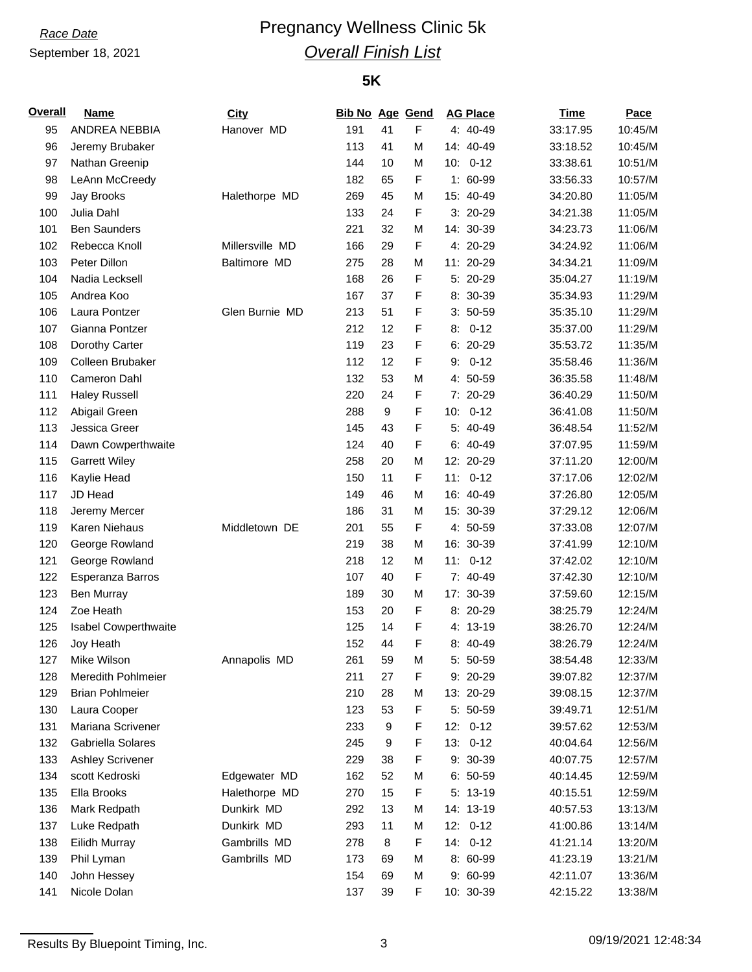# **Race Date Pregnancy Wellness Clinic 5k** *Overall Finish List*

### **5K**

| <b>Overall</b> | <b>Name</b>                               | <b>City</b>     | <b>Bib No Age Gend</b> |                  |   | <b>AG Place</b>        | <b>Time</b>          | Pace               |
|----------------|-------------------------------------------|-----------------|------------------------|------------------|---|------------------------|----------------------|--------------------|
| 95             | ANDREA NEBBIA                             | Hanover MD      | 191                    | 41               | F | 4: 40-49               | 33:17.95             | 10:45/M            |
| 96             | Jeremy Brubaker                           |                 | 113                    | 41               | M | 14: 40-49              | 33:18.52             | 10:45/M            |
| 97             | Nathan Greenip                            |                 | 144                    | 10               | M | 10:<br>$0 - 12$        | 33:38.61             | 10:51/M            |
| 98             | LeAnn McCreedy                            |                 | 182                    | 65               | F | $1: 60-99$             | 33:56.33             | 10:57/M            |
| 99             | Jay Brooks                                | Halethorpe MD   | 269                    | 45               | M | 15: 40-49              | 34:20.80             | 11:05/M            |
| 100            | Julia Dahl                                |                 | 133                    | 24               | F | $3:20-29$              | 34:21.38             | 11:05/M            |
| 101            | <b>Ben Saunders</b>                       |                 | 221                    | 32               | M | 14: 30-39              | 34:23.73             | 11:06/M            |
| 102            | Rebecca Knoll                             | Millersville MD | 166                    | 29               | F | 4: 20-29               | 34:24.92             | 11:06/M            |
| 103            | Peter Dillon                              | Baltimore MD    | 275                    | 28               | M | 11: 20-29              | 34:34.21             | 11:09/M            |
| 104            | Nadia Lecksell                            |                 | 168                    | 26               | F | 5: 20-29               | 35:04.27             | 11:19/M            |
| 105            | Andrea Koo                                |                 | 167                    | 37               | F | 8: 30-39               | 35:34.93             | 11:29/M            |
| 106            | Laura Pontzer                             | Glen Burnie MD  | 213                    | 51               | F | $3: 50-59$             | 35:35.10             | 11:29/M            |
| 107            | Gianna Pontzer                            |                 | 212                    | 12               | F | $0 - 12$<br>8:         | 35:37.00             | 11:29/M            |
| 108            | Dorothy Carter                            |                 | 119                    | 23               | F | $6: 20-29$             | 35:53.72             | 11:35/M            |
| 109            | Colleen Brubaker                          |                 | 112                    | 12               | F | $0 - 12$<br>9:         | 35:58.46             | 11:36/M            |
| 110            | Cameron Dahl                              |                 | 132                    | 53               | M | 4: 50-59               | 36:35.58             | 11:48/M            |
| 111            | <b>Haley Russell</b>                      |                 | 220                    | 24               | F | 7: 20-29               | 36:40.29             | 11:50/M            |
| 112            | Abigail Green                             |                 | 288                    | $\boldsymbol{9}$ | F | $0 - 12$<br>10:        | 36:41.08             | 11:50/M            |
| 113            | Jessica Greer                             |                 | 145                    | 43               | F | 5: 40-49               | 36:48.54             | 11:52/M            |
| 114            | Dawn Cowperthwaite                        |                 | 124                    | 40               | F | $6: 40-49$             | 37:07.95             | 11:59/M            |
| 115            | <b>Garrett Wiley</b>                      |                 | 258                    | 20               | M | 12: 20-29              | 37:11.20             | 12:00/M            |
| 116            | Kaylie Head                               |                 | 150                    | 11               | F | $0 - 12$<br>11:        | 37:17.06             | 12:02/M            |
| 117            | JD Head                                   |                 | 149                    | 46               | M | 16: 40-49              | 37:26.80             | 12:05/M            |
| 118            | Jeremy Mercer                             |                 | 186                    | 31               | M | 15: 30-39              | 37:29.12             | 12:06/M            |
| 119            | Karen Niehaus                             | Middletown DE   | 201                    | 55               | F | 4: 50-59               | 37:33.08             | 12:07/M            |
| 120            | George Rowland                            |                 | 219                    | 38               | M | 16: 30-39              | 37:41.99             | 12:10/M            |
| 121            | George Rowland                            |                 | 218                    | 12               | M | 11:<br>$0 - 12$        | 37:42.02             | 12:10/M            |
| 122            | Esperanza Barros                          |                 | 107                    | 40               | F | 7: 40-49               | 37:42.30             | 12:10/M            |
| 123            | <b>Ben Murray</b>                         |                 | 189                    | 30               | M | 17: 30-39              | 37:59.60             | 12:15/M            |
| 124            | Zoe Heath                                 |                 | 153                    | 20               | F | 8: 20-29               | 38:25.79             | 12:24/M            |
| 125            | Isabel Cowperthwaite                      |                 | 125                    | 14               | F | 4: 13-19               | 38:26.70             | 12:24/M            |
| 126            | Joy Heath                                 |                 | 152                    | 44               | F | 8: 40-49               | 38:26.79             | 12:24/M            |
| 127            | Mike Wilson                               | Annapolis MD    | 261                    | 59               | M | 5: 50-59               | 38:54.48             | 12:33/M            |
| 128            | Meredith Pohlmeier                        |                 | 211                    | 27               | F | 9: 20-29               | 39:07.82             | 12:37/M            |
| 129            | <b>Brian Pohlmeier</b>                    |                 | 210                    | 28               | M | 13: 20-29              | 39:08.15             | 12:37/M            |
| 130            | Laura Cooper                              |                 | 123                    | 53               | F | 5: 50-59               | 39:49.71             | 12:51/M            |
| 131            | Mariana Scrivener                         |                 | 233                    | 9                | F | $0 - 12$               |                      | 12:53/M            |
| 132            | Gabriella Solares                         |                 |                        |                  | F | 12:<br>13:<br>$0 - 12$ | 39:57.62<br>40:04.64 |                    |
|                |                                           |                 | 245                    | 9                |   |                        |                      | 12:56/M            |
| 133            | <b>Ashley Scrivener</b><br>scott Kedroski |                 | 229                    | 38               | F | 9: 30-39               | 40:07.75             | 12:57/M<br>12:59/M |
| 134            |                                           | Edgewater MD    | 162                    | 52               | M | $6: 50-59$             | 40:14.45             |                    |
| 135            | Ella Brooks                               | Halethorpe MD   | 270                    | 15               | F | $5: 13-19$             | 40:15.51             | 12:59/M            |
| 136            | Mark Redpath                              | Dunkirk MD      | 292                    | 13               | M | 14: 13-19              | 40:57.53             | 13:13/M            |
| 137            | Luke Redpath                              | Dunkirk MD      | 293                    | 11               | M | $12: 0-12$             | 41:00.86             | 13:14/M            |
| 138            | Eilidh Murray                             | Gambrills MD    | 278                    | 8                | F | 14: 0-12               | 41:21.14             | 13:20/M            |
| 139            | Phil Lyman                                | Gambrills MD    | 173                    | 69               | M | 8: 60-99               | 41:23.19             | 13:21/M            |
| 140            | John Hessey                               |                 | 154                    | 69               | M | 9: 60-99               | 42:11.07             | 13:36/M            |
| 141            | Nicole Dolan                              |                 | 137                    | 39               | F | 10: 30-39              | 42:15.22             | 13:38/M            |

Results By Bluepoint Timing, Inc. 2 09/19/2021 12:48:34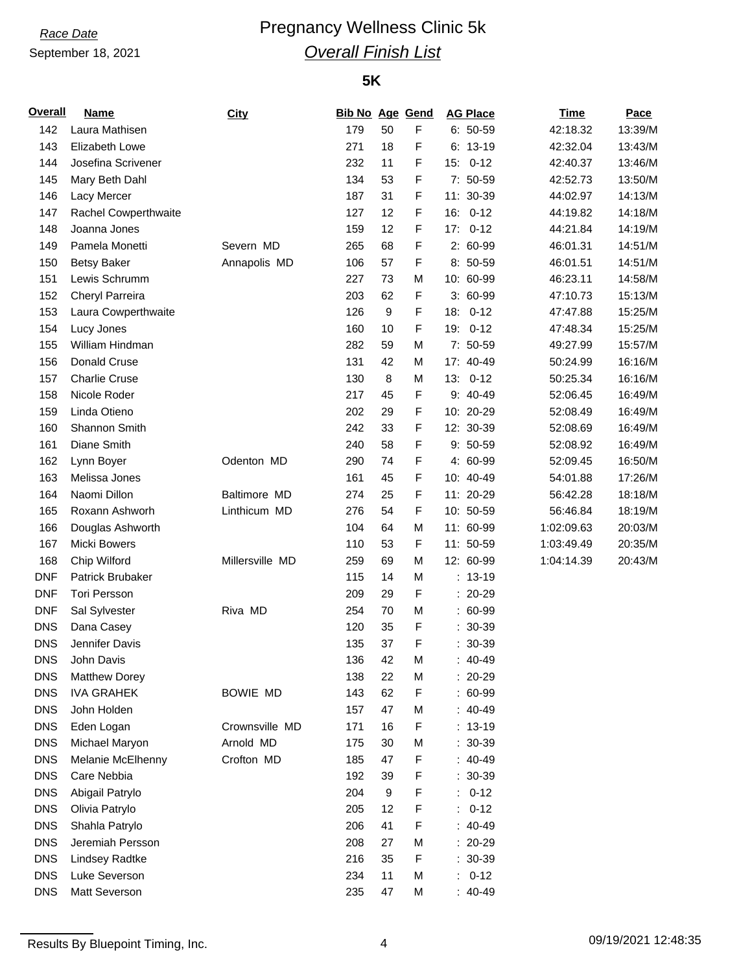# **Race Date Pregnancy Wellness Clinic 5k** *Overall Finish List*

### **5K**

| F<br>142<br>Laura Mathisen<br>179<br>50<br>$6: 50-59$<br>42:18.32<br>143<br>Elizabeth Lowe<br>271<br>18<br>F<br>$6: 13-19$<br>42:32.04<br>F<br>144<br>Josefina Scrivener<br>232<br>11<br>$15: 0-12$<br>42:40.37<br>F<br>145<br>7: 50-59<br>Mary Beth Dahl<br>134<br>53<br>42:52.73<br>F<br>146<br>187<br>31<br>11: 30-39<br>44:02.97<br>Lacy Mercer<br>F<br>127<br>12<br>$16: 0-12$<br>147<br>Rachel Cowperthwaite<br>44:19.82<br>F<br>12<br>148<br>Joanna Jones<br>159<br>17:<br>$0 - 12$<br>44:21.84<br>F<br>Severn MD<br>2: 60-99<br>149<br>Pamela Monetti<br>265<br>68<br>46:01.31<br>F<br><b>Betsy Baker</b><br>Annapolis MD<br>106<br>57<br>8: 50-59<br>150<br>46:01.51<br>151<br>Lewis Schrumm<br>227<br>10: 60-99<br>73<br>M<br>46:23.11<br>F<br>152<br>203<br>62<br>$3:60-99$<br>Cheryl Parreira<br>47:10.73<br>F<br>153<br>126<br>9<br>18: 0-12<br>Laura Cowperthwaite<br>47:47.88<br>F<br>154<br>10<br>19: 0-12<br>Lucy Jones<br>160<br>47:48.34<br>7: 50-59<br>155<br>William Hindman<br>282<br>59<br>49:27.99<br>M<br>156<br>Donald Cruse<br>131<br>42<br>М<br>17: 40-49<br>50:24.99<br><b>Charlie Cruse</b><br>8<br>M<br>$13: 0-12$<br>157<br>130<br>50:25.34<br>F<br>Nicole Roder<br>217<br>45<br>9: 40-49<br>158<br>52:06.45<br>F<br>159<br>Linda Otieno<br>202<br>29<br>10: 20-29<br>52:08.49<br>F<br>160<br>Shannon Smith<br>242<br>33<br>12: 30-39<br>52:08.69<br>F<br>161<br>Diane Smith<br>58<br>9: 50-59<br>240<br>52:08.92<br>F<br>162<br>Lynn Boyer<br>Odenton MD<br>74<br>4: 60-99<br>290<br>52:09.45<br>F<br>163<br>Melissa Jones<br>161<br>45<br>10: 40-49<br>54:01.88<br>F<br>164<br>Naomi Dillon<br>Baltimore MD<br>25<br>11: 20-29<br>274<br>56:42.28<br>F<br>Linthicum MD<br>54<br>10: 50-59<br>56:46.84<br>165<br>Roxann Ashworh<br>276<br>64<br>M<br>11: 60-99<br>166<br>Douglas Ashworth<br>104<br>1:02:09.63<br>167<br><b>Micki Bowers</b><br>F<br>11: 50-59<br>110<br>53<br>1:03:49.49<br>Millersville MD<br>168<br>Chip Wilford<br>259<br>69<br>M<br>12: 60-99<br>1:04:14.39<br><b>DNF</b><br>Patrick Brubaker<br>14<br>115<br>M<br>$: 13-19$<br>F<br><b>DNF</b><br><b>Tori Persson</b><br>29<br>$: 20-29$<br>209<br><b>DNF</b><br>Riva MD<br>70<br>$: 60-99$<br>Sal Sylvester<br>254<br>M<br>F<br><b>DNS</b><br>Dana Casey<br>35<br>$: 30-39$<br>120<br>F<br><b>DNS</b><br>Jennifer Davis<br>$: 30-39$<br>135<br>37<br>John Davis<br>DNS<br>136<br>42<br>M<br>40-49<br>$: 20-29$<br><b>DNS</b><br><b>Matthew Dorey</b><br>138<br>22<br>M<br><b>DNS</b><br>F<br>$: 60-99$<br><b>IVA GRAHEK</b><br><b>BOWIE MD</b><br>143<br>62<br><b>DNS</b><br>47<br>$: 40-49$<br>John Holden<br>157<br>M<br>F<br><b>DNS</b><br>Crownsville MD<br>16<br>$: 13-19$<br>Eden Logan<br>171<br><b>DNS</b><br>Arnold MD<br>Michael Maryon<br>$: 30-39$<br>175<br>30<br>м<br><b>DNS</b><br>F<br>Crofton MD<br>$: 40-49$<br>Melanie McElhenny<br>185<br>47<br><b>DNS</b><br>F<br>$: 30-39$<br>Care Nebbia<br>192<br>39<br>$\boldsymbol{9}$<br>F<br><b>DNS</b><br>Abigail Patrylo<br>$0 - 12$<br>204<br>t.<br><b>DNS</b><br>F<br>Olivia Patrylo<br>12<br>$0 - 12$<br>205<br>÷.<br><b>DNS</b><br>F<br>$: 40-49$<br>Shahla Patrylo<br>41<br>206<br><b>DNS</b><br>Jeremiah Persson<br>27<br>$: 20-29$<br>208<br>M<br>F<br><b>DNS</b><br><b>Lindsey Radtke</b><br>35<br>$: 30-39$<br>216<br><b>DNS</b><br>$0 - 12$<br>Luke Severson<br>11<br>234<br>M<br>t.<br><b>DNS</b><br>Matt Severson<br>235<br>$: 40-49$<br>47<br>м | Overall | <b>Name</b> | City | <b>Bib No Age Gend</b> |  | <b>AG Place</b> | <b>Time</b> | Pace    |
|------------------------------------------------------------------------------------------------------------------------------------------------------------------------------------------------------------------------------------------------------------------------------------------------------------------------------------------------------------------------------------------------------------------------------------------------------------------------------------------------------------------------------------------------------------------------------------------------------------------------------------------------------------------------------------------------------------------------------------------------------------------------------------------------------------------------------------------------------------------------------------------------------------------------------------------------------------------------------------------------------------------------------------------------------------------------------------------------------------------------------------------------------------------------------------------------------------------------------------------------------------------------------------------------------------------------------------------------------------------------------------------------------------------------------------------------------------------------------------------------------------------------------------------------------------------------------------------------------------------------------------------------------------------------------------------------------------------------------------------------------------------------------------------------------------------------------------------------------------------------------------------------------------------------------------------------------------------------------------------------------------------------------------------------------------------------------------------------------------------------------------------------------------------------------------------------------------------------------------------------------------------------------------------------------------------------------------------------------------------------------------------------------------------------------------------------------------------------------------------------------------------------------------------------------------------------------------------------------------------------------------------------------------------------------------------------------------------------------------------------------------------------------------------------------------------------------------------------------------------------------------------------------------------------------------------------------------------------------------------------------------------------------------------------------------------------------------------------------------------------------------------------------------------------------------------------------------------------------------------------------------------------------------------------------------------------------------------------------------------------------------------------------------------------------------|---------|-------------|------|------------------------|--|-----------------|-------------|---------|
|                                                                                                                                                                                                                                                                                                                                                                                                                                                                                                                                                                                                                                                                                                                                                                                                                                                                                                                                                                                                                                                                                                                                                                                                                                                                                                                                                                                                                                                                                                                                                                                                                                                                                                                                                                                                                                                                                                                                                                                                                                                                                                                                                                                                                                                                                                                                                                                                                                                                                                                                                                                                                                                                                                                                                                                                                                                                                                                                                                                                                                                                                                                                                                                                                                                                                                                                                                                                                                    |         |             |      |                        |  |                 |             | 13:39/M |
|                                                                                                                                                                                                                                                                                                                                                                                                                                                                                                                                                                                                                                                                                                                                                                                                                                                                                                                                                                                                                                                                                                                                                                                                                                                                                                                                                                                                                                                                                                                                                                                                                                                                                                                                                                                                                                                                                                                                                                                                                                                                                                                                                                                                                                                                                                                                                                                                                                                                                                                                                                                                                                                                                                                                                                                                                                                                                                                                                                                                                                                                                                                                                                                                                                                                                                                                                                                                                                    |         |             |      |                        |  |                 |             | 13:43/M |
|                                                                                                                                                                                                                                                                                                                                                                                                                                                                                                                                                                                                                                                                                                                                                                                                                                                                                                                                                                                                                                                                                                                                                                                                                                                                                                                                                                                                                                                                                                                                                                                                                                                                                                                                                                                                                                                                                                                                                                                                                                                                                                                                                                                                                                                                                                                                                                                                                                                                                                                                                                                                                                                                                                                                                                                                                                                                                                                                                                                                                                                                                                                                                                                                                                                                                                                                                                                                                                    |         |             |      |                        |  |                 |             | 13:46/M |
|                                                                                                                                                                                                                                                                                                                                                                                                                                                                                                                                                                                                                                                                                                                                                                                                                                                                                                                                                                                                                                                                                                                                                                                                                                                                                                                                                                                                                                                                                                                                                                                                                                                                                                                                                                                                                                                                                                                                                                                                                                                                                                                                                                                                                                                                                                                                                                                                                                                                                                                                                                                                                                                                                                                                                                                                                                                                                                                                                                                                                                                                                                                                                                                                                                                                                                                                                                                                                                    |         |             |      |                        |  |                 |             | 13:50/M |
|                                                                                                                                                                                                                                                                                                                                                                                                                                                                                                                                                                                                                                                                                                                                                                                                                                                                                                                                                                                                                                                                                                                                                                                                                                                                                                                                                                                                                                                                                                                                                                                                                                                                                                                                                                                                                                                                                                                                                                                                                                                                                                                                                                                                                                                                                                                                                                                                                                                                                                                                                                                                                                                                                                                                                                                                                                                                                                                                                                                                                                                                                                                                                                                                                                                                                                                                                                                                                                    |         |             |      |                        |  |                 |             | 14:13/M |
|                                                                                                                                                                                                                                                                                                                                                                                                                                                                                                                                                                                                                                                                                                                                                                                                                                                                                                                                                                                                                                                                                                                                                                                                                                                                                                                                                                                                                                                                                                                                                                                                                                                                                                                                                                                                                                                                                                                                                                                                                                                                                                                                                                                                                                                                                                                                                                                                                                                                                                                                                                                                                                                                                                                                                                                                                                                                                                                                                                                                                                                                                                                                                                                                                                                                                                                                                                                                                                    |         |             |      |                        |  |                 |             | 14:18/M |
|                                                                                                                                                                                                                                                                                                                                                                                                                                                                                                                                                                                                                                                                                                                                                                                                                                                                                                                                                                                                                                                                                                                                                                                                                                                                                                                                                                                                                                                                                                                                                                                                                                                                                                                                                                                                                                                                                                                                                                                                                                                                                                                                                                                                                                                                                                                                                                                                                                                                                                                                                                                                                                                                                                                                                                                                                                                                                                                                                                                                                                                                                                                                                                                                                                                                                                                                                                                                                                    |         |             |      |                        |  |                 |             | 14:19/M |
|                                                                                                                                                                                                                                                                                                                                                                                                                                                                                                                                                                                                                                                                                                                                                                                                                                                                                                                                                                                                                                                                                                                                                                                                                                                                                                                                                                                                                                                                                                                                                                                                                                                                                                                                                                                                                                                                                                                                                                                                                                                                                                                                                                                                                                                                                                                                                                                                                                                                                                                                                                                                                                                                                                                                                                                                                                                                                                                                                                                                                                                                                                                                                                                                                                                                                                                                                                                                                                    |         |             |      |                        |  |                 |             | 14:51/M |
|                                                                                                                                                                                                                                                                                                                                                                                                                                                                                                                                                                                                                                                                                                                                                                                                                                                                                                                                                                                                                                                                                                                                                                                                                                                                                                                                                                                                                                                                                                                                                                                                                                                                                                                                                                                                                                                                                                                                                                                                                                                                                                                                                                                                                                                                                                                                                                                                                                                                                                                                                                                                                                                                                                                                                                                                                                                                                                                                                                                                                                                                                                                                                                                                                                                                                                                                                                                                                                    |         |             |      |                        |  |                 |             | 14:51/M |
|                                                                                                                                                                                                                                                                                                                                                                                                                                                                                                                                                                                                                                                                                                                                                                                                                                                                                                                                                                                                                                                                                                                                                                                                                                                                                                                                                                                                                                                                                                                                                                                                                                                                                                                                                                                                                                                                                                                                                                                                                                                                                                                                                                                                                                                                                                                                                                                                                                                                                                                                                                                                                                                                                                                                                                                                                                                                                                                                                                                                                                                                                                                                                                                                                                                                                                                                                                                                                                    |         |             |      |                        |  |                 |             | 14:58/M |
|                                                                                                                                                                                                                                                                                                                                                                                                                                                                                                                                                                                                                                                                                                                                                                                                                                                                                                                                                                                                                                                                                                                                                                                                                                                                                                                                                                                                                                                                                                                                                                                                                                                                                                                                                                                                                                                                                                                                                                                                                                                                                                                                                                                                                                                                                                                                                                                                                                                                                                                                                                                                                                                                                                                                                                                                                                                                                                                                                                                                                                                                                                                                                                                                                                                                                                                                                                                                                                    |         |             |      |                        |  |                 |             | 15:13/M |
|                                                                                                                                                                                                                                                                                                                                                                                                                                                                                                                                                                                                                                                                                                                                                                                                                                                                                                                                                                                                                                                                                                                                                                                                                                                                                                                                                                                                                                                                                                                                                                                                                                                                                                                                                                                                                                                                                                                                                                                                                                                                                                                                                                                                                                                                                                                                                                                                                                                                                                                                                                                                                                                                                                                                                                                                                                                                                                                                                                                                                                                                                                                                                                                                                                                                                                                                                                                                                                    |         |             |      |                        |  |                 |             | 15:25/M |
|                                                                                                                                                                                                                                                                                                                                                                                                                                                                                                                                                                                                                                                                                                                                                                                                                                                                                                                                                                                                                                                                                                                                                                                                                                                                                                                                                                                                                                                                                                                                                                                                                                                                                                                                                                                                                                                                                                                                                                                                                                                                                                                                                                                                                                                                                                                                                                                                                                                                                                                                                                                                                                                                                                                                                                                                                                                                                                                                                                                                                                                                                                                                                                                                                                                                                                                                                                                                                                    |         |             |      |                        |  |                 |             | 15:25/M |
|                                                                                                                                                                                                                                                                                                                                                                                                                                                                                                                                                                                                                                                                                                                                                                                                                                                                                                                                                                                                                                                                                                                                                                                                                                                                                                                                                                                                                                                                                                                                                                                                                                                                                                                                                                                                                                                                                                                                                                                                                                                                                                                                                                                                                                                                                                                                                                                                                                                                                                                                                                                                                                                                                                                                                                                                                                                                                                                                                                                                                                                                                                                                                                                                                                                                                                                                                                                                                                    |         |             |      |                        |  |                 |             | 15:57/M |
|                                                                                                                                                                                                                                                                                                                                                                                                                                                                                                                                                                                                                                                                                                                                                                                                                                                                                                                                                                                                                                                                                                                                                                                                                                                                                                                                                                                                                                                                                                                                                                                                                                                                                                                                                                                                                                                                                                                                                                                                                                                                                                                                                                                                                                                                                                                                                                                                                                                                                                                                                                                                                                                                                                                                                                                                                                                                                                                                                                                                                                                                                                                                                                                                                                                                                                                                                                                                                                    |         |             |      |                        |  |                 |             | 16:16/M |
|                                                                                                                                                                                                                                                                                                                                                                                                                                                                                                                                                                                                                                                                                                                                                                                                                                                                                                                                                                                                                                                                                                                                                                                                                                                                                                                                                                                                                                                                                                                                                                                                                                                                                                                                                                                                                                                                                                                                                                                                                                                                                                                                                                                                                                                                                                                                                                                                                                                                                                                                                                                                                                                                                                                                                                                                                                                                                                                                                                                                                                                                                                                                                                                                                                                                                                                                                                                                                                    |         |             |      |                        |  |                 |             | 16:16/M |
|                                                                                                                                                                                                                                                                                                                                                                                                                                                                                                                                                                                                                                                                                                                                                                                                                                                                                                                                                                                                                                                                                                                                                                                                                                                                                                                                                                                                                                                                                                                                                                                                                                                                                                                                                                                                                                                                                                                                                                                                                                                                                                                                                                                                                                                                                                                                                                                                                                                                                                                                                                                                                                                                                                                                                                                                                                                                                                                                                                                                                                                                                                                                                                                                                                                                                                                                                                                                                                    |         |             |      |                        |  |                 |             | 16:49/M |
|                                                                                                                                                                                                                                                                                                                                                                                                                                                                                                                                                                                                                                                                                                                                                                                                                                                                                                                                                                                                                                                                                                                                                                                                                                                                                                                                                                                                                                                                                                                                                                                                                                                                                                                                                                                                                                                                                                                                                                                                                                                                                                                                                                                                                                                                                                                                                                                                                                                                                                                                                                                                                                                                                                                                                                                                                                                                                                                                                                                                                                                                                                                                                                                                                                                                                                                                                                                                                                    |         |             |      |                        |  |                 |             | 16:49/M |
|                                                                                                                                                                                                                                                                                                                                                                                                                                                                                                                                                                                                                                                                                                                                                                                                                                                                                                                                                                                                                                                                                                                                                                                                                                                                                                                                                                                                                                                                                                                                                                                                                                                                                                                                                                                                                                                                                                                                                                                                                                                                                                                                                                                                                                                                                                                                                                                                                                                                                                                                                                                                                                                                                                                                                                                                                                                                                                                                                                                                                                                                                                                                                                                                                                                                                                                                                                                                                                    |         |             |      |                        |  |                 |             | 16:49/M |
|                                                                                                                                                                                                                                                                                                                                                                                                                                                                                                                                                                                                                                                                                                                                                                                                                                                                                                                                                                                                                                                                                                                                                                                                                                                                                                                                                                                                                                                                                                                                                                                                                                                                                                                                                                                                                                                                                                                                                                                                                                                                                                                                                                                                                                                                                                                                                                                                                                                                                                                                                                                                                                                                                                                                                                                                                                                                                                                                                                                                                                                                                                                                                                                                                                                                                                                                                                                                                                    |         |             |      |                        |  |                 |             | 16:49/M |
|                                                                                                                                                                                                                                                                                                                                                                                                                                                                                                                                                                                                                                                                                                                                                                                                                                                                                                                                                                                                                                                                                                                                                                                                                                                                                                                                                                                                                                                                                                                                                                                                                                                                                                                                                                                                                                                                                                                                                                                                                                                                                                                                                                                                                                                                                                                                                                                                                                                                                                                                                                                                                                                                                                                                                                                                                                                                                                                                                                                                                                                                                                                                                                                                                                                                                                                                                                                                                                    |         |             |      |                        |  |                 |             | 16:50/M |
|                                                                                                                                                                                                                                                                                                                                                                                                                                                                                                                                                                                                                                                                                                                                                                                                                                                                                                                                                                                                                                                                                                                                                                                                                                                                                                                                                                                                                                                                                                                                                                                                                                                                                                                                                                                                                                                                                                                                                                                                                                                                                                                                                                                                                                                                                                                                                                                                                                                                                                                                                                                                                                                                                                                                                                                                                                                                                                                                                                                                                                                                                                                                                                                                                                                                                                                                                                                                                                    |         |             |      |                        |  |                 |             | 17:26/M |
|                                                                                                                                                                                                                                                                                                                                                                                                                                                                                                                                                                                                                                                                                                                                                                                                                                                                                                                                                                                                                                                                                                                                                                                                                                                                                                                                                                                                                                                                                                                                                                                                                                                                                                                                                                                                                                                                                                                                                                                                                                                                                                                                                                                                                                                                                                                                                                                                                                                                                                                                                                                                                                                                                                                                                                                                                                                                                                                                                                                                                                                                                                                                                                                                                                                                                                                                                                                                                                    |         |             |      |                        |  |                 |             | 18:18/M |
|                                                                                                                                                                                                                                                                                                                                                                                                                                                                                                                                                                                                                                                                                                                                                                                                                                                                                                                                                                                                                                                                                                                                                                                                                                                                                                                                                                                                                                                                                                                                                                                                                                                                                                                                                                                                                                                                                                                                                                                                                                                                                                                                                                                                                                                                                                                                                                                                                                                                                                                                                                                                                                                                                                                                                                                                                                                                                                                                                                                                                                                                                                                                                                                                                                                                                                                                                                                                                                    |         |             |      |                        |  |                 |             | 18:19/M |
|                                                                                                                                                                                                                                                                                                                                                                                                                                                                                                                                                                                                                                                                                                                                                                                                                                                                                                                                                                                                                                                                                                                                                                                                                                                                                                                                                                                                                                                                                                                                                                                                                                                                                                                                                                                                                                                                                                                                                                                                                                                                                                                                                                                                                                                                                                                                                                                                                                                                                                                                                                                                                                                                                                                                                                                                                                                                                                                                                                                                                                                                                                                                                                                                                                                                                                                                                                                                                                    |         |             |      |                        |  |                 |             | 20:03/M |
|                                                                                                                                                                                                                                                                                                                                                                                                                                                                                                                                                                                                                                                                                                                                                                                                                                                                                                                                                                                                                                                                                                                                                                                                                                                                                                                                                                                                                                                                                                                                                                                                                                                                                                                                                                                                                                                                                                                                                                                                                                                                                                                                                                                                                                                                                                                                                                                                                                                                                                                                                                                                                                                                                                                                                                                                                                                                                                                                                                                                                                                                                                                                                                                                                                                                                                                                                                                                                                    |         |             |      |                        |  |                 |             | 20:35/M |
|                                                                                                                                                                                                                                                                                                                                                                                                                                                                                                                                                                                                                                                                                                                                                                                                                                                                                                                                                                                                                                                                                                                                                                                                                                                                                                                                                                                                                                                                                                                                                                                                                                                                                                                                                                                                                                                                                                                                                                                                                                                                                                                                                                                                                                                                                                                                                                                                                                                                                                                                                                                                                                                                                                                                                                                                                                                                                                                                                                                                                                                                                                                                                                                                                                                                                                                                                                                                                                    |         |             |      |                        |  |                 |             | 20:43/M |
|                                                                                                                                                                                                                                                                                                                                                                                                                                                                                                                                                                                                                                                                                                                                                                                                                                                                                                                                                                                                                                                                                                                                                                                                                                                                                                                                                                                                                                                                                                                                                                                                                                                                                                                                                                                                                                                                                                                                                                                                                                                                                                                                                                                                                                                                                                                                                                                                                                                                                                                                                                                                                                                                                                                                                                                                                                                                                                                                                                                                                                                                                                                                                                                                                                                                                                                                                                                                                                    |         |             |      |                        |  |                 |             |         |
|                                                                                                                                                                                                                                                                                                                                                                                                                                                                                                                                                                                                                                                                                                                                                                                                                                                                                                                                                                                                                                                                                                                                                                                                                                                                                                                                                                                                                                                                                                                                                                                                                                                                                                                                                                                                                                                                                                                                                                                                                                                                                                                                                                                                                                                                                                                                                                                                                                                                                                                                                                                                                                                                                                                                                                                                                                                                                                                                                                                                                                                                                                                                                                                                                                                                                                                                                                                                                                    |         |             |      |                        |  |                 |             |         |
|                                                                                                                                                                                                                                                                                                                                                                                                                                                                                                                                                                                                                                                                                                                                                                                                                                                                                                                                                                                                                                                                                                                                                                                                                                                                                                                                                                                                                                                                                                                                                                                                                                                                                                                                                                                                                                                                                                                                                                                                                                                                                                                                                                                                                                                                                                                                                                                                                                                                                                                                                                                                                                                                                                                                                                                                                                                                                                                                                                                                                                                                                                                                                                                                                                                                                                                                                                                                                                    |         |             |      |                        |  |                 |             |         |
|                                                                                                                                                                                                                                                                                                                                                                                                                                                                                                                                                                                                                                                                                                                                                                                                                                                                                                                                                                                                                                                                                                                                                                                                                                                                                                                                                                                                                                                                                                                                                                                                                                                                                                                                                                                                                                                                                                                                                                                                                                                                                                                                                                                                                                                                                                                                                                                                                                                                                                                                                                                                                                                                                                                                                                                                                                                                                                                                                                                                                                                                                                                                                                                                                                                                                                                                                                                                                                    |         |             |      |                        |  |                 |             |         |
|                                                                                                                                                                                                                                                                                                                                                                                                                                                                                                                                                                                                                                                                                                                                                                                                                                                                                                                                                                                                                                                                                                                                                                                                                                                                                                                                                                                                                                                                                                                                                                                                                                                                                                                                                                                                                                                                                                                                                                                                                                                                                                                                                                                                                                                                                                                                                                                                                                                                                                                                                                                                                                                                                                                                                                                                                                                                                                                                                                                                                                                                                                                                                                                                                                                                                                                                                                                                                                    |         |             |      |                        |  |                 |             |         |
|                                                                                                                                                                                                                                                                                                                                                                                                                                                                                                                                                                                                                                                                                                                                                                                                                                                                                                                                                                                                                                                                                                                                                                                                                                                                                                                                                                                                                                                                                                                                                                                                                                                                                                                                                                                                                                                                                                                                                                                                                                                                                                                                                                                                                                                                                                                                                                                                                                                                                                                                                                                                                                                                                                                                                                                                                                                                                                                                                                                                                                                                                                                                                                                                                                                                                                                                                                                                                                    |         |             |      |                        |  |                 |             |         |
|                                                                                                                                                                                                                                                                                                                                                                                                                                                                                                                                                                                                                                                                                                                                                                                                                                                                                                                                                                                                                                                                                                                                                                                                                                                                                                                                                                                                                                                                                                                                                                                                                                                                                                                                                                                                                                                                                                                                                                                                                                                                                                                                                                                                                                                                                                                                                                                                                                                                                                                                                                                                                                                                                                                                                                                                                                                                                                                                                                                                                                                                                                                                                                                                                                                                                                                                                                                                                                    |         |             |      |                        |  |                 |             |         |
|                                                                                                                                                                                                                                                                                                                                                                                                                                                                                                                                                                                                                                                                                                                                                                                                                                                                                                                                                                                                                                                                                                                                                                                                                                                                                                                                                                                                                                                                                                                                                                                                                                                                                                                                                                                                                                                                                                                                                                                                                                                                                                                                                                                                                                                                                                                                                                                                                                                                                                                                                                                                                                                                                                                                                                                                                                                                                                                                                                                                                                                                                                                                                                                                                                                                                                                                                                                                                                    |         |             |      |                        |  |                 |             |         |
|                                                                                                                                                                                                                                                                                                                                                                                                                                                                                                                                                                                                                                                                                                                                                                                                                                                                                                                                                                                                                                                                                                                                                                                                                                                                                                                                                                                                                                                                                                                                                                                                                                                                                                                                                                                                                                                                                                                                                                                                                                                                                                                                                                                                                                                                                                                                                                                                                                                                                                                                                                                                                                                                                                                                                                                                                                                                                                                                                                                                                                                                                                                                                                                                                                                                                                                                                                                                                                    |         |             |      |                        |  |                 |             |         |
|                                                                                                                                                                                                                                                                                                                                                                                                                                                                                                                                                                                                                                                                                                                                                                                                                                                                                                                                                                                                                                                                                                                                                                                                                                                                                                                                                                                                                                                                                                                                                                                                                                                                                                                                                                                                                                                                                                                                                                                                                                                                                                                                                                                                                                                                                                                                                                                                                                                                                                                                                                                                                                                                                                                                                                                                                                                                                                                                                                                                                                                                                                                                                                                                                                                                                                                                                                                                                                    |         |             |      |                        |  |                 |             |         |
|                                                                                                                                                                                                                                                                                                                                                                                                                                                                                                                                                                                                                                                                                                                                                                                                                                                                                                                                                                                                                                                                                                                                                                                                                                                                                                                                                                                                                                                                                                                                                                                                                                                                                                                                                                                                                                                                                                                                                                                                                                                                                                                                                                                                                                                                                                                                                                                                                                                                                                                                                                                                                                                                                                                                                                                                                                                                                                                                                                                                                                                                                                                                                                                                                                                                                                                                                                                                                                    |         |             |      |                        |  |                 |             |         |
|                                                                                                                                                                                                                                                                                                                                                                                                                                                                                                                                                                                                                                                                                                                                                                                                                                                                                                                                                                                                                                                                                                                                                                                                                                                                                                                                                                                                                                                                                                                                                                                                                                                                                                                                                                                                                                                                                                                                                                                                                                                                                                                                                                                                                                                                                                                                                                                                                                                                                                                                                                                                                                                                                                                                                                                                                                                                                                                                                                                                                                                                                                                                                                                                                                                                                                                                                                                                                                    |         |             |      |                        |  |                 |             |         |
|                                                                                                                                                                                                                                                                                                                                                                                                                                                                                                                                                                                                                                                                                                                                                                                                                                                                                                                                                                                                                                                                                                                                                                                                                                                                                                                                                                                                                                                                                                                                                                                                                                                                                                                                                                                                                                                                                                                                                                                                                                                                                                                                                                                                                                                                                                                                                                                                                                                                                                                                                                                                                                                                                                                                                                                                                                                                                                                                                                                                                                                                                                                                                                                                                                                                                                                                                                                                                                    |         |             |      |                        |  |                 |             |         |
|                                                                                                                                                                                                                                                                                                                                                                                                                                                                                                                                                                                                                                                                                                                                                                                                                                                                                                                                                                                                                                                                                                                                                                                                                                                                                                                                                                                                                                                                                                                                                                                                                                                                                                                                                                                                                                                                                                                                                                                                                                                                                                                                                                                                                                                                                                                                                                                                                                                                                                                                                                                                                                                                                                                                                                                                                                                                                                                                                                                                                                                                                                                                                                                                                                                                                                                                                                                                                                    |         |             |      |                        |  |                 |             |         |
|                                                                                                                                                                                                                                                                                                                                                                                                                                                                                                                                                                                                                                                                                                                                                                                                                                                                                                                                                                                                                                                                                                                                                                                                                                                                                                                                                                                                                                                                                                                                                                                                                                                                                                                                                                                                                                                                                                                                                                                                                                                                                                                                                                                                                                                                                                                                                                                                                                                                                                                                                                                                                                                                                                                                                                                                                                                                                                                                                                                                                                                                                                                                                                                                                                                                                                                                                                                                                                    |         |             |      |                        |  |                 |             |         |
|                                                                                                                                                                                                                                                                                                                                                                                                                                                                                                                                                                                                                                                                                                                                                                                                                                                                                                                                                                                                                                                                                                                                                                                                                                                                                                                                                                                                                                                                                                                                                                                                                                                                                                                                                                                                                                                                                                                                                                                                                                                                                                                                                                                                                                                                                                                                                                                                                                                                                                                                                                                                                                                                                                                                                                                                                                                                                                                                                                                                                                                                                                                                                                                                                                                                                                                                                                                                                                    |         |             |      |                        |  |                 |             |         |
|                                                                                                                                                                                                                                                                                                                                                                                                                                                                                                                                                                                                                                                                                                                                                                                                                                                                                                                                                                                                                                                                                                                                                                                                                                                                                                                                                                                                                                                                                                                                                                                                                                                                                                                                                                                                                                                                                                                                                                                                                                                                                                                                                                                                                                                                                                                                                                                                                                                                                                                                                                                                                                                                                                                                                                                                                                                                                                                                                                                                                                                                                                                                                                                                                                                                                                                                                                                                                                    |         |             |      |                        |  |                 |             |         |
|                                                                                                                                                                                                                                                                                                                                                                                                                                                                                                                                                                                                                                                                                                                                                                                                                                                                                                                                                                                                                                                                                                                                                                                                                                                                                                                                                                                                                                                                                                                                                                                                                                                                                                                                                                                                                                                                                                                                                                                                                                                                                                                                                                                                                                                                                                                                                                                                                                                                                                                                                                                                                                                                                                                                                                                                                                                                                                                                                                                                                                                                                                                                                                                                                                                                                                                                                                                                                                    |         |             |      |                        |  |                 |             |         |
|                                                                                                                                                                                                                                                                                                                                                                                                                                                                                                                                                                                                                                                                                                                                                                                                                                                                                                                                                                                                                                                                                                                                                                                                                                                                                                                                                                                                                                                                                                                                                                                                                                                                                                                                                                                                                                                                                                                                                                                                                                                                                                                                                                                                                                                                                                                                                                                                                                                                                                                                                                                                                                                                                                                                                                                                                                                                                                                                                                                                                                                                                                                                                                                                                                                                                                                                                                                                                                    |         |             |      |                        |  |                 |             |         |
|                                                                                                                                                                                                                                                                                                                                                                                                                                                                                                                                                                                                                                                                                                                                                                                                                                                                                                                                                                                                                                                                                                                                                                                                                                                                                                                                                                                                                                                                                                                                                                                                                                                                                                                                                                                                                                                                                                                                                                                                                                                                                                                                                                                                                                                                                                                                                                                                                                                                                                                                                                                                                                                                                                                                                                                                                                                                                                                                                                                                                                                                                                                                                                                                                                                                                                                                                                                                                                    |         |             |      |                        |  |                 |             |         |

Results By Bluepoint Timing, Inc. 2008 12:48:35